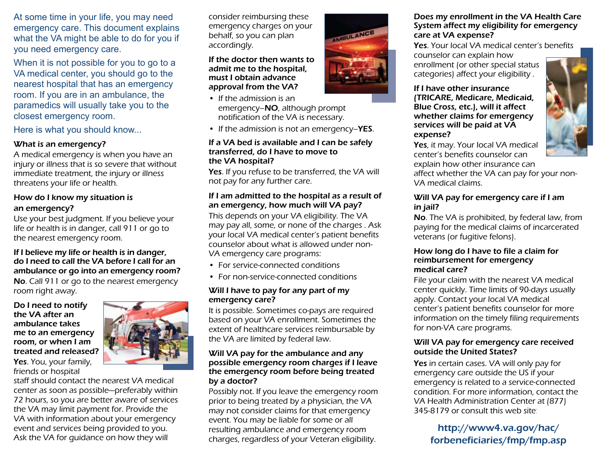At some time in your life, you may need emergency care. This document explains what the VA might be able to do for you if you need emergency care.

When it is not possible for you to go to a VA medical center, you should go to the nearest hospital that has an emergency room. If you are in an ambulance, the paramedics will usually take you to the closest emergency room.

#### Here is what you should know...

#### What is an emergency?

A medical emergency is when you have an injury or illness that is so severe that without immediate treatment, the injury or illness threatens your life or health.

#### How do I know my situation is an emergency?

Use your best judgment. If you believe your life or health is in danger, call 911 or go to the nearest emergency room.

#### If I believe my life or health is in danger, do I need to call the VA before I call for an ambulance or go into an emergency room?

No. Call 911 or go to the nearest emergency room right away.

#### Do I need to notify the VA after an ambulance takes me to an emergency room, or when I am treated and released? Yes. You, your family,

friends or hospital



staff should contact the nearest VA medical center as soon as possible—preferably within 72 hours, so you are better aware of services the VA may limit payment for. Provide the VA with information about your emergency event and services being provided to you. Ask the VA for guidance on how they will

consider reimbursing these emergency charges on your behalf, so you can plan accordingly.

#### If the doctor then wants to admit me to the hospital, must I obtain advance approval from the VA?

- If the admission is an emergency–NO, although prompt notification of the VA is necessary.
- If the admission is not an emergency–**YES**.

#### If a VA bed is available and I can be safely transferred, do I have to move to the VA hospital?

Yes. If you refuse to be transferred, the VA will not pay for any further care.

#### If I am admitted to the hospital as a result of an emergency, how much will VA pay?

This depends on your VA eligibility. The VA may pay all, some, or none of the charges . Ask your local VA medical center's patient benefits counselor about what is allowed under non-VA emergency care programs:

- For service-connected conditions
- For non-service-connected conditions

#### Will I have to pay for any part of my emergency care?

It is possible. Sometimes co-pays are required based on your VA enrollment. Sometimes the extent of healthcare services reimbursable by the VA are limited by federal law.

#### Will VA pay for the ambulance and any possible emergency room charges if I leave the emergency room before being treated by a doctor?

Possibly not. If you leave the emergency room prior to being treated by a physician, the VA may not consider claims for that emergency event. You may be liable for some or all resulting ambulance and emergency room charges, regardless of your Veteran eligibility.



Yes. Your local VA medical center's benefits counselor can explain how enrollment (or other special status categories) affect your eligibility .

#### If I have other insurance (TRICARE, Medicare, Medicaid, Blue Cross, etc.), will it affect whether claims for emergency services will be paid at VA expense?

Yes, it may. Your local VA medical center's benefits counselor can explain how other insurance can

affect whether the VA can pay for your non-VA medical claims.

#### Will VA pay for emergency care if I am in jail?

No. The VA is prohibited, by federal law, from paying for the medical claims of incarcerated veterans (or fugitive felons).

#### How long do I have to file a claim for reimbursement for emergency medical care?

File your claim with the nearest VA medical center quickly. Time limits of 90-days usually apply. Contact your local VA medical center's patient benefits counselor for more information on the timely filing requirements for non-VA care programs.

#### Will VA pay for emergency care received outside the United States?

Yes in certain cases. VA will only pay for emergency care outside the US if your emergency is related to a service-connected condition. For more information, contact the VA Health Administration Center at (877) 345-8179 or consult this web site:

> http://www4.va.gov/hac/ forbeneficiaries/fmp/fmp.asp